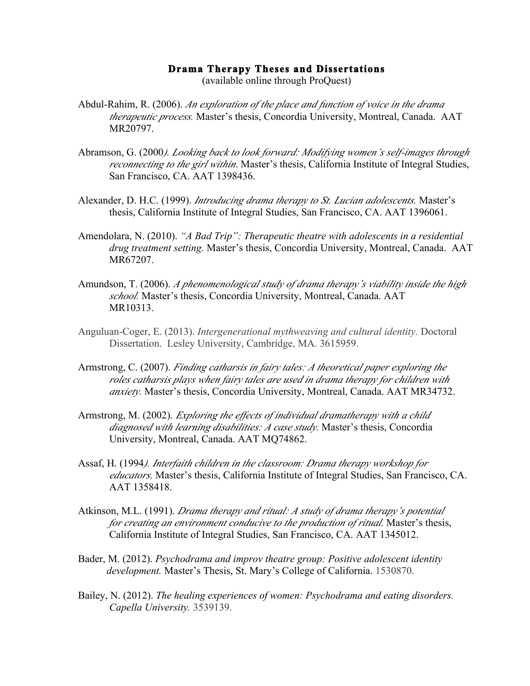## **Drama Therapy Theses and Dissertations**

(available online through ProQuest)

- Abdul-Rahim, R. (2006). *An exploration of the place and function of voice in the drama therapeutic process.* Master's thesis, Concordia University, Montreal, Canada. AAT MR20797.
- Abramson, G. (2000*). Looking back to look forward: Modifying women's self-images through reconnecting to the girl within*. Master's thesis, California Institute of Integral Studies, San Francisco, CA. AAT 1398436.
- Alexander, D. H.C. (1999). *Introducing drama therapy to St. Lucian adolescents.* Master's thesis, California Institute of Integral Studies, San Francisco, CA. AAT 1396061.
- Amendolara, N. (2010). *"A Bad Trip": Therapeutic theatre with adolescents in a residential drug treatment setting.* Master's thesis, Concordia University, Montreal, Canada. AAT MR67207.
- Amundson, T. (2006). *A phenomenological study of drama therapy's viability inside the high school.* Master's thesis, Concordia University, Montreal, Canada. AAT MR10313.
- Anguluan-Coger, E. (2013). *Intergenerational mythweaving and cultural identity.* Doctoral Dissertation. Lesley University, Cambridge, MA. 3615959.
- Armstrong, C. (2007). *Finding catharsis in fairy tales: A theoretical paper exploring the roles catharsis plays when fairy tales are used in drama therapy for children with anxiety.* Master's thesis, Concordia University, Montreal, Canada. AAT MR34732.
- Armstrong, M. (2002). *Exploring the effects of individual dramatherapy with a child diagnosed with learning disabilities: A case study.* Master's thesis, Concordia University, Montreal, Canada. AAT MQ74862.
- Assaf, H. (1994*). Interfaith children in the classroom: Drama therapy workshop for educators.* Master's thesis, California Institute of Integral Studies, San Francisco, CA. AAT 1358418.
- Atkinson, M.L. (1991). *Drama therapy and ritual: A study of drama therapy's potential for creating an environment conducive to the production of ritual.* Master's thesis, California Institute of Integral Studies, San Francisco, CA. AAT 1345012.
- Bader, M. (2012). *Psychodrama and improv theatre group: Positive adolescent identity development.* Master's Thesis, St. Mary's College of California. 1530870.
- Bailey, N. (2012). *The healing experiences of women: Psychodrama and eating disorders. Capella University.* 3539139.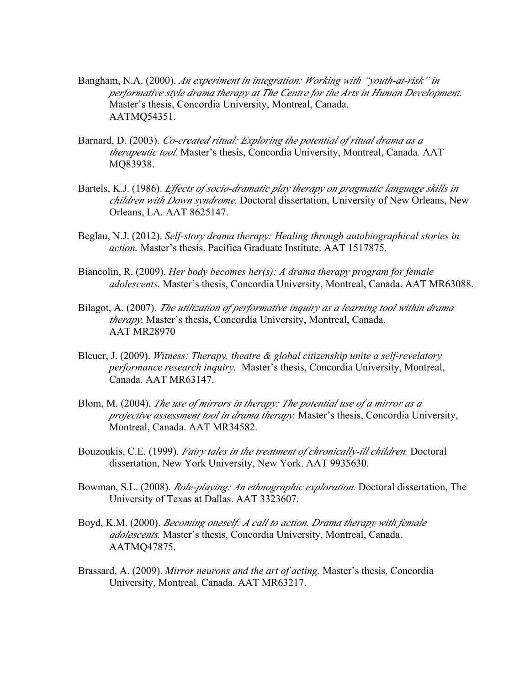- Bangham, N.A. (2000). *An experiment in integration: Working with "youth-at-risk" in performative style drama therapy at The Centre for the Arts in Human Development.*  Master's thesis, Concordia University, Montreal, Canada. AATMQ54351.
- Barnard, D. (2003). *Co-created ritual: Exploring the potential of ritual drama as a therapeutic tool.* Master's thesis, Concordia University, Montreal, Canada. AAT MQ83938.
- Bartels, K.J. (1986). *Effects of socio-dramatic play therapy on pragmatic language skills in children with Down syndrome.* Doctoral dissertation, University of New Orleans, New Orleans, LA. AAT 8625147.
- Beglau, N.J. (2012). *Self-story drama therapy: Healing through autobiographical stories in action.* Master's thesis. Pacifica Graduate Institute. AAT 1517875.
- Biancolin, R. (2009). *Her body becomes her(s): A drama therapy program for female adolescents.* Master's thesis, Concordia University, Montreal, Canada. AAT MR63088.
- Bilagot, A. (2007). *The utilization of performative inquiry as a learning tool within drama therapy.* Master's thesis, Concordia University, Montreal, Canada. AAT MR28970
- Bleuer, J. (2009). *Witness: Therapy, theatre & global citizenship unite a self-revelatory performance research inquiry.* Master's thesis, Concordia University, Montreal, Canada. AAT MR63147.
- Blom, M. (2004). *The use of mirrors in therapy: The potential use of a mirror as a projective assessment tool in drama therapy.* Master's thesis, Concordia University, Montreal, Canada. AAT MR34582.
- Bouzoukis, C.E. (1999). *Fairy tales in the treatment of chronically-ill children.* Doctoral dissertation, New York University, New York. AAT 9935630.
- Bowman, S.L. (2008). *Role-playing: An ethnographic exploration.* Doctoral dissertation, The University of Texas at Dallas. AAT 3323607.
- Boyd, K.M. (2000). *Becoming oneself: A call to action. Drama therapy with female adolescents.* Master's thesis, Concordia University, Montreal, Canada. AATMQ47875.
- Brassard, A. (2009). *Mirror neurons and the art of acting.* Master's thesis, Concordia University, Montreal, Canada. AAT MR63217.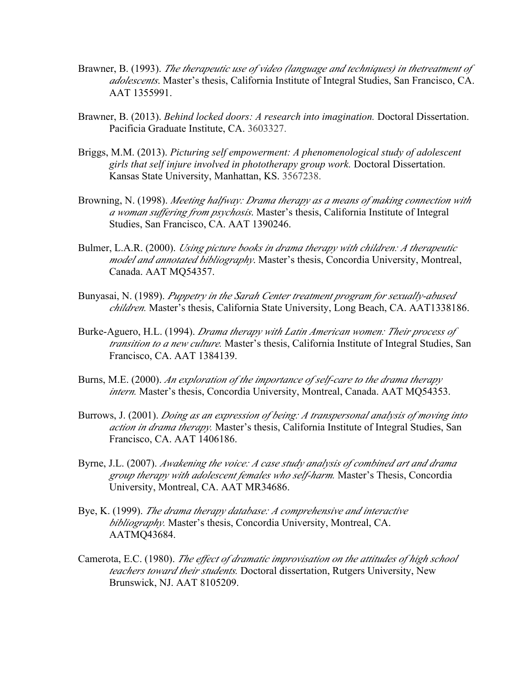- Brawner, B. (1993). *The therapeutic use of video (language and techniques) in thetreatment of adolescents*. Master's thesis, California Institute of Integral Studies, San Francisco, CA. AAT 1355991.
- Brawner, B. (2013). *Behind locked doors: A research into imagination.* Doctoral Dissertation. Pacificia Graduate Institute, CA. 3603327.
- Briggs, M.M. (2013). *Picturing self empowerment: A phenomenological study of adolescent girls that self injure involved in phototherapy group work.* Doctoral Dissertation. Kansas State University, Manhattan, KS. 3567238.
- Browning, N. (1998). *Meeting halfway: Drama therapy as a means of making connection with a woman suffering from psychosis*. Master's thesis, California Institute of Integral Studies, San Francisco, CA. AAT 1390246.
- Bulmer, L.A.R. (2000). *Using picture books in drama therapy with children: A therapeutic model and annotated bibliography*. Master's thesis, Concordia University, Montreal, Canada. AAT MQ54357.
- Bunyasai, N. (1989). *Puppetry in the Sarah Center treatment program for sexually-abused children.* Master's thesis, California State University, Long Beach, CA. AAT1338186.
- Burke-Aguero, H.L. (1994). *Drama therapy with Latin American women: Their process of transition to a new culture.* Master's thesis, California Institute of Integral Studies, San Francisco, CA. AAT 1384139.
- Burns, M.E. (2000). *An exploration of the importance of self-care to the drama therapy intern.* Master's thesis, Concordia University, Montreal, Canada. AAT MQ54353.
- Burrows, J. (2001). *Doing as an expression of being: A transpersonal analysis of moving into action in drama therapy.* Master's thesis, California Institute of Integral Studies, San Francisco, CA. AAT 1406186.
- Byrne, J.L. (2007). *Awakening the voice: A case study analysis of combined art and drama group therapy with adolescent females who self-harm.* Master's Thesis, Concordia University, Montreal, CA. AAT MR34686.
- Bye, K. (1999). *The drama therapy database: A comprehensive and interactive bibliography.* Master's thesis, Concordia University, Montreal, CA. AATMQ43684.
- Camerota, E.C. (1980). *The effect of dramatic improvisation on the attitudes of high school teachers toward their students.* Doctoral dissertation, Rutgers University, New Brunswick, NJ. AAT 8105209.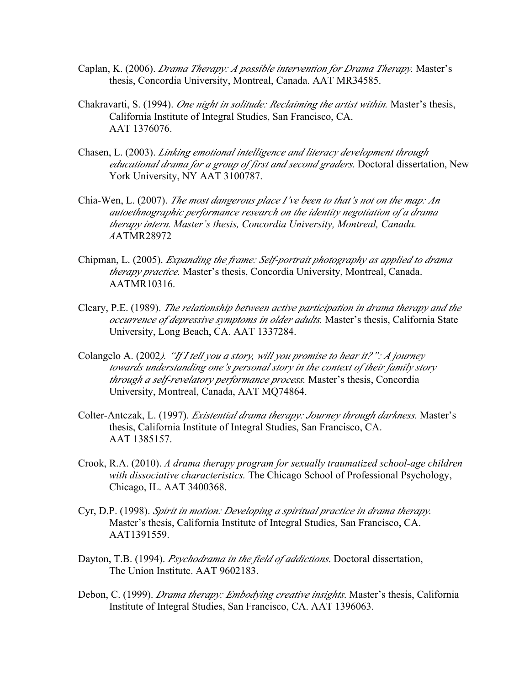- Caplan, K. (2006). *Drama Therapy: A possible intervention for Drama Therapy.* Master's thesis, Concordia University, Montreal, Canada. AAT MR34585.
- Chakravarti, S. (1994). *One night in solitude: Reclaiming the artist within.* Master's thesis, California Institute of Integral Studies, San Francisco, CA. AAT 1376076.
- Chasen, L. (2003). *Linking emotional intelligence and literacy development through educational drama for a group of first and second graders*. Doctoral dissertation, New York University, NY AAT 3100787.
- Chia-Wen, L. (2007). *The most dangerous place I've been to that's not on the map: An autoethnographic performance research on the identity negotiation of a drama therapy intern. Master's thesis, Concordia University, Montreal, Canada. A*ATMR28972
- Chipman, L. (2005). *Expanding the frame: Self-portrait photography as applied to drama therapy practice.* Master's thesis, Concordia University, Montreal, Canada. AATMR10316.
- Cleary, P.E. (1989). *The relationship between active participation in drama therapy and the occurrence of depressive symptoms in older adults.* Master's thesis, California State University, Long Beach, CA. AAT 1337284.
- Colangelo A. (2002*). "If I tell you a story, will you promise to hear it?": A journey towards understanding one's personal story in the context of their family story through a self-revelatory performance process.* Master's thesis, Concordia University, Montreal, Canada, AAT MQ74864.
- Colter-Antczak, L. (1997). *Existential drama therapy: Journey through darkness.* Master's thesis, California Institute of Integral Studies, San Francisco, CA. AAT 1385157.
- Crook, R.A. (2010). *A drama therapy program for sexually traumatized school-age children with dissociative characteristics.* The Chicago School of Professional Psychology, Chicago, IL. AAT 3400368.
- Cyr, D.P. (1998). *Spirit in motion: Developing a spiritual practice in drama therapy.* Master's thesis, California Institute of Integral Studies, San Francisco, CA. AAT1391559.
- Dayton, T.B. (1994). *Psychodrama in the field of addictions*. Doctoral dissertation, The Union Institute. AAT 9602183.
- Debon, C. (1999). *Drama therapy: Embodying creative insights*. Master's thesis, California Institute of Integral Studies, San Francisco, CA. AAT 1396063.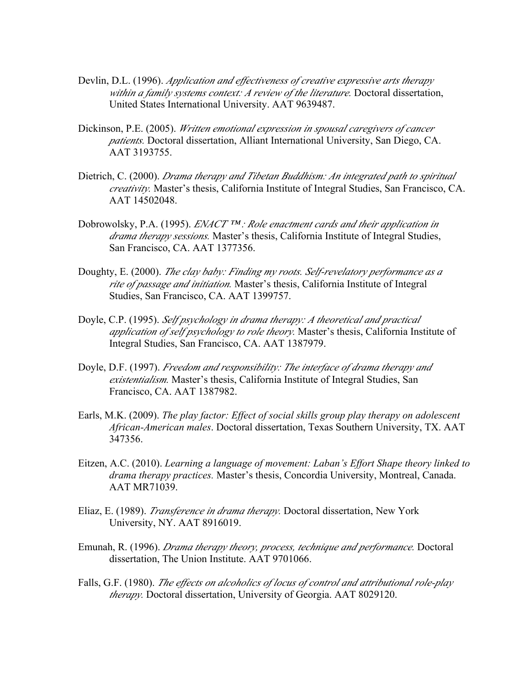- Devlin, D.L. (1996). *Application and effectiveness of creative expressive arts therapy within a family systems context: A review of the literature.* Doctoral dissertation, United States International University. AAT 9639487.
- Dickinson, P.E. (2005). *Written emotional expression in spousal caregivers of cancer patients.* Doctoral dissertation, Alliant International University, San Diego, CA. AAT 3193755.
- Dietrich, C. (2000). *Drama therapy and Tibetan Buddhism: An integrated path to spiritual creativity.* Master's thesis, California Institute of Integral Studies, San Francisco, CA. AAT 14502048.
- Dobrowolsky, P.A. (1995). *ENACT ™ : Role enactment cards and their application in drama therapy sessions.* Master's thesis, California Institute of Integral Studies, San Francisco, CA. AAT 1377356.
- Doughty, E. (2000). *The clay baby: Finding my roots. Self-revelatory performance as a rite of passage and initiation.* Master's thesis, California Institute of Integral Studies, San Francisco, CA. AAT 1399757.
- Doyle, C.P. (1995). *Self psychology in drama therapy: A theoretical and practical application of self psychology to role theory.* Master's thesis, California Institute of Integral Studies, San Francisco, CA. AAT 1387979.
- Doyle, D.F. (1997). *Freedom and responsibility: The interface of drama therapy and existentialism.* Master's thesis, California Institute of Integral Studies, San Francisco, CA. AAT 1387982.
- Earls, M.K. (2009). *The play factor: Effect of social skills group play therapy on adolescent African-American males*. Doctoral dissertation, Texas Southern University, TX. AAT 347356.
- Eitzen, A.C. (2010). *Learning a language of movement: Laban's Effort Shape theory linked to drama therapy practices.* Master's thesis, Concordia University, Montreal, Canada. AAT MR71039.
- Eliaz, E. (1989). *Transference in drama therapy.* Doctoral dissertation, New York University, NY. AAT 8916019.
- Emunah, R. (1996). *Drama therapy theory, process, technique and performance.* Doctoral dissertation, The Union Institute. AAT 9701066.
- Falls, G.F. (1980). *The effects on alcoholics of locus of control and attributional role-play therapy.* Doctoral dissertation, University of Georgia. AAT 8029120.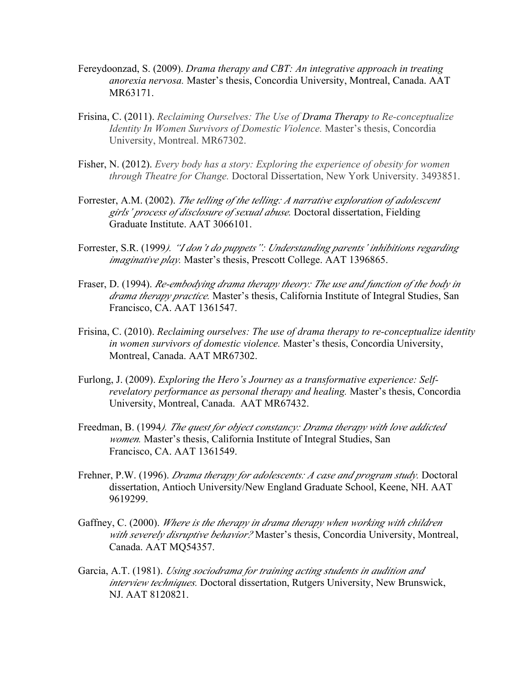- Fereydoonzad, S. (2009). *Drama therapy and CBT: An integrative approach in treating anorexia nervosa.* Master's thesis, Concordia University, Montreal, Canada. AAT MR63171.
- Frisina, C. (2011). *Reclaiming Ourselves: The Use of Drama Therapy to Re-conceptualize Identity In Women Survivors of Domestic Violence.* Master's thesis, Concordia University, Montreal. MR67302.
- Fisher, N. (2012). *Every body has a story: Exploring the experience of obesity for women through Theatre for Change.* Doctoral Dissertation, New York University. 3493851.
- Forrester, A.M. (2002). *The telling of the telling: A narrative exploration of adolescent girls' process of disclosure of sexual abuse.* Doctoral dissertation, Fielding Graduate Institute. AAT 3066101.
- Forrester, S.R. (1999*). "I don't do puppets": Understanding parents' inhibitions regarding imaginative play.* Master's thesis, Prescott College. AAT 1396865.
- Fraser, D. (1994). *Re-embodying drama therapy theory: The use and function of the body in drama therapy practice.* Master's thesis, California Institute of Integral Studies, San Francisco, CA. AAT 1361547.
- Frisina, C. (2010). *Reclaiming ourselves: The use of drama therapy to re-conceptualize identity in women survivors of domestic violence.* Master's thesis, Concordia University, Montreal, Canada. AAT MR67302.
- Furlong, J. (2009). *Exploring the Hero's Journey as a transformative experience: Selfrevelatory performance as personal therapy and healing.* Master's thesis, Concordia University, Montreal, Canada. AAT MR67432.
- Freedman, B. (1994*). The quest for object constancy: Drama therapy with love addicted women.* Master's thesis, California Institute of Integral Studies, San Francisco, CA. AAT 1361549.
- Frehner, P.W. (1996). *Drama therapy for adolescents: A case and program study.* Doctoral dissertation, Antioch University/New England Graduate School, Keene, NH. AAT 9619299.
- Gaffney, C. (2000). *Where is the therapy in drama therapy when working with children with severely disruptive behavior?* Master's thesis, Concordia University, Montreal, Canada. AAT MQ54357.
- Garcia, A.T. (1981). *Using sociodrama for training acting students in audition and interview techniques.* Doctoral dissertation, Rutgers University, New Brunswick, NJ. AAT 8120821.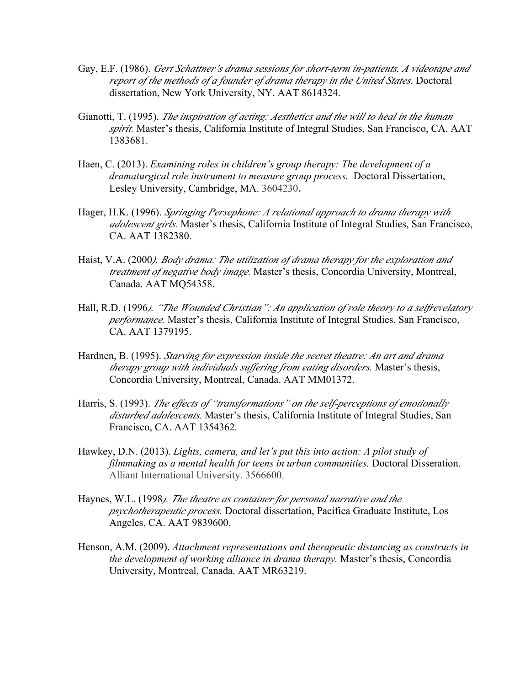- Gay, E.F. (1986). *Gert Schattner's drama sessions for short-term in-patients. A videotape and report of the methods of a founder of drama therapy in the United States*. Doctoral dissertation, New York University, NY. AAT 8614324.
- Gianotti, T. (1995). *The inspiration of acting: Aesthetics and the will to heal in the human spirit.* Master's thesis, California Institute of Integral Studies, San Francisco, CA. AAT 1383681.
- Haen, C. (2013). *Examining roles in children's group therapy: The development of a dramaturgical role instrument to measure group process.* Doctoral Dissertation, Lesley University, Cambridge, MA. 3604230.
- Hager, H.K. (1996). *Springing Persephone: A relational approach to drama therapy with adolescent girls.* Master's thesis, California Institute of Integral Studies, San Francisco, CA. AAT 1382380.
- Haist, V.A. (2000*). Body drama: The utilization of drama therapy for the exploration and treatment of negative body image.* Master's thesis, Concordia University, Montreal, Canada. AAT MQ54358.
- Hall, R.D. (1996*). "The Wounded Christian": An application of role theory to a selfrevelatory performance.* Master's thesis, California Institute of Integral Studies, San Francisco, CA. AAT 1379195.
- Hardnen, B. (1995). *Starving for expression inside the secret theatre: An art and drama therapy group with individuals suffering from eating disorders.* Master's thesis, Concordia University, Montreal, Canada. AAT MM01372.
- Harris, S. (1993). *The effects of "transformations" on the self-perceptions of emotionally disturbed adolescents.* Master's thesis, California Institute of Integral Studies, San Francisco, CA. AAT 1354362.
- Hawkey, D.N. (2013). *Lights, camera, and let's put this into action: A pilot study of filmmaking as a mental health for teens in urban communities.* Doctoral Disseration. Alliant International University. 3566600.
- Haynes, W.L. (1998*). The theatre as container for personal narrative and the psychotherapeutic process.* Doctoral dissertation, Pacifica Graduate Institute, Los Angeles, CA. AAT 9839600.
- Henson, A.M. (2009). *Attachment representations and therapeutic distancing as constructs in the development of working alliance in drama therapy.* Master's thesis, Concordia University, Montreal, Canada. AAT MR63219.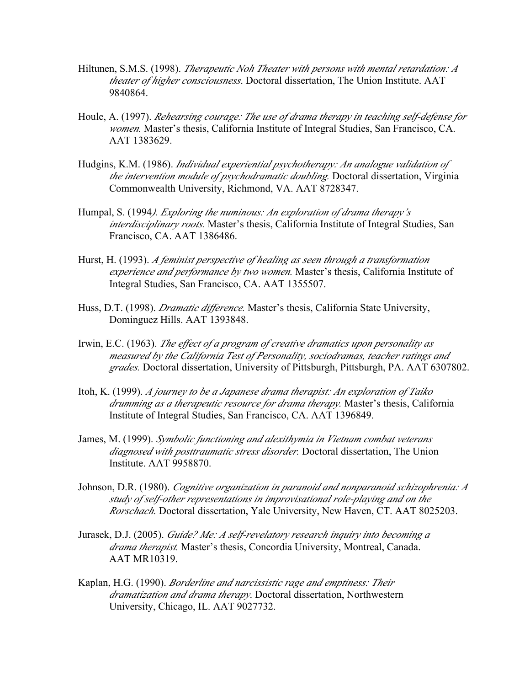- Hiltunen, S.M.S. (1998). *Therapeutic Noh Theater with persons with mental retardation: A theater of higher consciousness*. Doctoral dissertation, The Union Institute. AAT 9840864.
- Houle, A. (1997). *Rehearsing courage: The use of drama therapy in teaching self-defense for women.* Master's thesis, California Institute of Integral Studies, San Francisco, CA. AAT 1383629.
- Hudgins, K.M. (1986). *Individual experiential psychotherapy: An analogue validation of the intervention module of psychodramatic doubling.* Doctoral dissertation, Virginia Commonwealth University, Richmond, VA. AAT 8728347.
- Humpal, S. (1994*). Exploring the numinous: An exploration of drama therapy's interdisciplinary roots.* Master's thesis, California Institute of Integral Studies, San Francisco, CA. AAT 1386486.
- Hurst, H. (1993). *A feminist perspective of healing as seen through a transformation experience and performance by two women.* Master's thesis, California Institute of Integral Studies, San Francisco, CA. AAT 1355507.
- Huss, D.T. (1998). *Dramatic difference.* Master's thesis, California State University, Dominguez Hills. AAT 1393848.
- Irwin, E.C. (1963). *The effect of a program of creative dramatics upon personality as measured by the California Test of Personality, sociodramas, teacher ratings and grades.* Doctoral dissertation, University of Pittsburgh, Pittsburgh, PA. AAT 6307802.
- Itoh, K. (1999). *A journey to be a Japanese drama therapist: An exploration of Taiko drumming as a therapeutic resource for drama therapy.* Master's thesis, California Institute of Integral Studies, San Francisco, CA. AAT 1396849.
- James, M. (1999). *Symbolic functioning and alexithymia in Vietnam combat veterans diagnosed with posttraumatic stress disorder.* Doctoral dissertation, The Union Institute. AAT 9958870.
- Johnson, D.R. (1980). *Cognitive organization in paranoid and nonparanoid schizophrenia: <sup>A</sup> study of self-other representations in improvisational role-playing and on the Rorschach.* Doctoral dissertation, Yale University, New Haven, CT. AAT 8025203.
- Jurasek, D.J. (2005). *Guide? Me: A self-revelatory research inquiry into becoming a drama therapist.* Master's thesis, Concordia University, Montreal, Canada. AAT MR10319.
- Kaplan, H.G. (1990). *Borderline and narcissistic rage and emptiness: Their dramatization and drama therapy*. Doctoral dissertation, Northwestern University, Chicago, IL. AAT 9027732.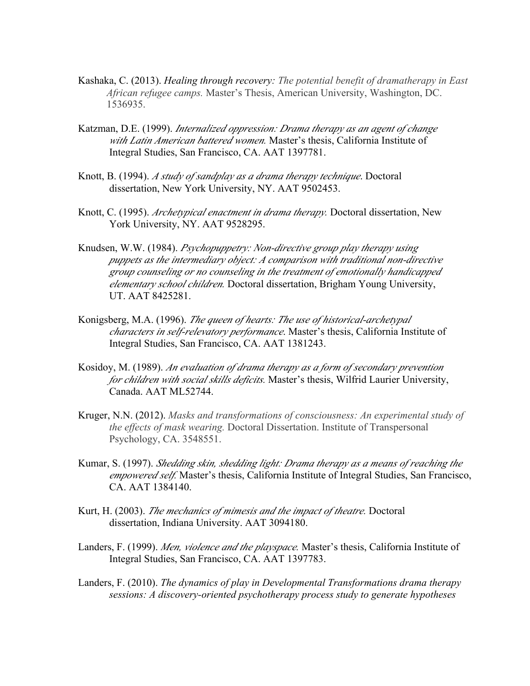- Kashaka, C. (2013). *Healing through recovery: The potential benefit of dramatherapy in East African refugee camps.* Master's Thesis, American University, Washington, DC. 1536935.
- Katzman, D.E. (1999). *Internalized oppression: Drama therapy as an agent of change with Latin American battered women.* Master's thesis, California Institute of Integral Studies, San Francisco, CA. AAT 1397781.
- Knott, B. (1994). *A study of sandplay as a drama therapy technique*. Doctoral dissertation, New York University, NY. AAT 9502453.
- Knott, C. (1995). *Archetypical enactment in drama therapy.* Doctoral dissertation, New York University, NY. AAT 9528295.
- Knudsen, W.W. (1984). *Psychopuppetry: Non-directive group play therapy using puppets as the intermediary object: A comparison with traditional non-directive group counseling or no counseling in the treatment of emotionally handicapped elementary school children.* Doctoral dissertation, Brigham Young University, UT. AAT 8425281.
- Konigsberg, M.A. (1996). *The queen of hearts: The use of historical-archetypal characters in self-relevatory performance*. Master's thesis, California Institute of Integral Studies, San Francisco, CA. AAT 1381243.
- Kosidoy, M. (1989). *An evaluation of drama therapy as a form of secondary prevention for children with social skills deficits.* Master's thesis, Wilfrid Laurier University, Canada. AAT ML52744.
- Kruger, N.N. (2012). *Masks and transformations of consciousness: An experimental study of the effects of mask wearing.* Doctoral Dissertation. Institute of Transpersonal Psychology, CA. 3548551.
- Kumar, S. (1997). *Shedding skin, shedding light: Drama therapy as a means of reaching the empowered self.* Master's thesis, California Institute of Integral Studies, San Francisco, CA. AAT 1384140.
- Kurt, H. (2003). *The mechanics of mimesis and the impact of theatre.* Doctoral dissertation, Indiana University. AAT 3094180.
- Landers, F. (1999). *Men, violence and the playspace.* Master's thesis, California Institute of Integral Studies, San Francisco, CA. AAT 1397783.
- Landers, F. (2010). *The dynamics of play in Developmental Transformations drama therapy sessions: A discovery-oriented psychotherapy process study to generate hypotheses*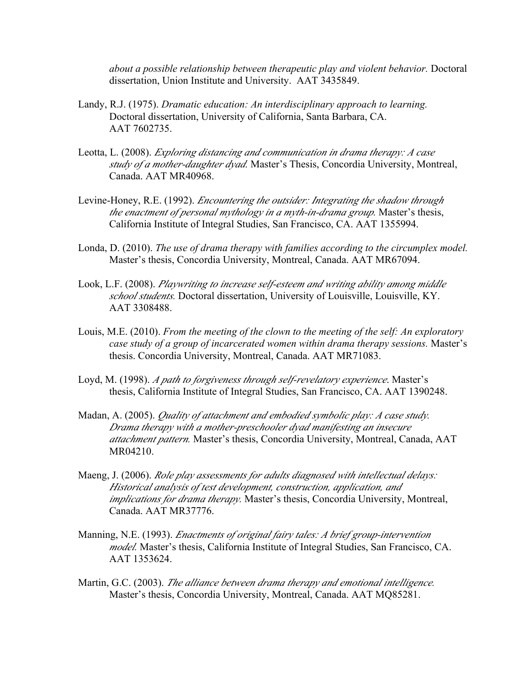*about a possible relationship between therapeutic play and violent behavior.* Doctoral dissertation, Union Institute and University. AAT 3435849.

- Landy, R.J. (1975). *Dramatic education: An interdisciplinary approach to learning.* Doctoral dissertation, University of California, Santa Barbara, CA. AAT 7602735.
- Leotta, L. (2008). *Exploring distancing and communication in drama therapy: A case study of a mother-daughter dyad.* Master's Thesis, Concordia University, Montreal, Canada. AAT MR40968.
- Levine-Honey, R.E. (1992). *Encountering the outsider: Integrating the shadow through the enactment of personal mythology in a myth-in-drama group.* Master's thesis, California Institute of Integral Studies, San Francisco, CA. AAT 1355994.
- Londa, D. (2010). *The use of drama therapy with families according to the circumplex model.* Master's thesis, Concordia University, Montreal, Canada. AAT MR67094.
- Look, L.F. (2008). *Playwriting to increase self-esteem and writing ability among middle school students.* Doctoral dissertation, University of Louisville, Louisville, KY. AAT 3308488.
- Louis, M.E. (2010). *From the meeting of the clown to the meeting of the self: An exploratory case study of a group of incarcerated women within drama therapy sessions.* Master's thesis. Concordia University, Montreal, Canada. AAT MR71083.
- Loyd, M. (1998). *A path to forgiveness through self-revelatory experience*. Master's thesis, California Institute of Integral Studies, San Francisco, CA. AAT 1390248.
- Madan, A. (2005). *Quality of attachment and embodied symbolic play: A case study. Drama therapy with a mother-preschooler dyad manifesting an insecure attachment pattern.* Master's thesis, Concordia University, Montreal, Canada, AAT MR04210.
- Maeng, J. (2006). *Role play assessments for adults diagnosed with intellectual delays: Historical analysis of test development, construction, application, and implications for drama therapy.* Master's thesis, Concordia University, Montreal, Canada. AAT MR37776.
- Manning, N.E. (1993). *Enactments of original fairy tales: A brief group-intervention model.* Master's thesis, California Institute of Integral Studies, San Francisco, CA. AAT 1353624.
- Martin, G.C. (2003). *The alliance between drama therapy and emotional intelligence.* Master's thesis, Concordia University, Montreal, Canada. AAT MQ85281.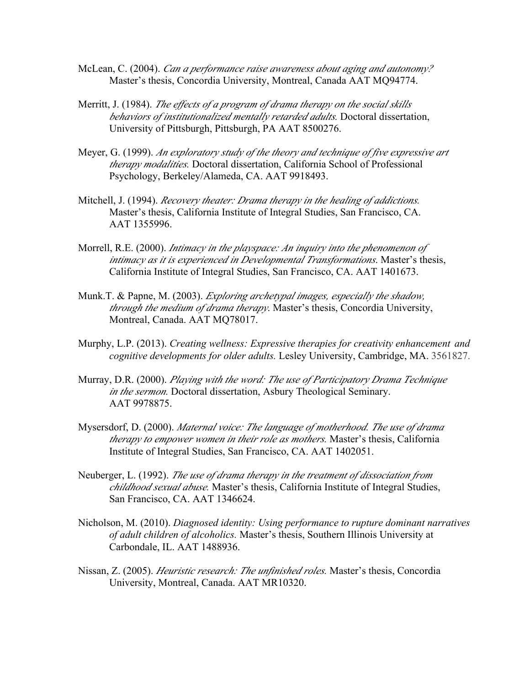- McLean, C. (2004). *Can a performance raise awareness about aging and autonomy?* Master's thesis, Concordia University, Montreal, Canada AAT MQ94774.
- Merritt, J. (1984). *The effects of a program of drama therapy on the social skills behaviors of institutionalized mentally retarded adults.* Doctoral dissertation, University of Pittsburgh, Pittsburgh, PA AAT 8500276.
- Meyer, G. (1999). *An exploratory study of the theory and technique of five expressive art therapy modalities.* Doctoral dissertation, California School of Professional Psychology, Berkeley/Alameda, CA. AAT 9918493.
- Mitchell, J. (1994). *Recovery theater: Drama therapy in the healing of addictions.* Master's thesis, California Institute of Integral Studies, San Francisco, CA. AAT 1355996.
- Morrell, R.E. (2000). *Intimacy in the playspace: An inquiry into the phenomenon of intimacy as it is experienced in Developmental Transformations*. Master's thesis, California Institute of Integral Studies, San Francisco, CA. AAT 1401673.
- Munk.T. & Papne, M. (2003). *Exploring archetypal images, especially the shadow, through the medium of drama therapy*. Master's thesis, Concordia University, Montreal, Canada. AAT MQ78017.
- Murphy, L.P. (2013). *Creating wellness: Expressive therapies for creativity enhancement and cognitive developments for older adults.* Lesley University, Cambridge, MA. 3561827.
- Murray, D.R. (2000). *Playing with the word: The use of Participatory Drama Technique in the sermon.* Doctoral dissertation, Asbury Theological Seminary. AAT 9978875.
- Mysersdorf, D. (2000). *Maternal voice: The language of motherhood. The use of drama therapy to empower women in their role as mothers.* Master's thesis, California Institute of Integral Studies, San Francisco, CA. AAT 1402051.
- Neuberger, L. (1992). *The use of drama therapy in the treatment of dissociation from childhood sexual abuse.* Master's thesis, California Institute of Integral Studies, San Francisco, CA. AAT 1346624.
- Nicholson, M. (2010). *Diagnosed identity: Using performance to rupture dominant narratives of adult children of alcoholics.* Master's thesis, Southern Illinois University at Carbondale, IL. AAT 1488936.
- Nissan, Z. (2005). *Heuristic research: The unfinished roles.* Master's thesis, Concordia University, Montreal, Canada. AAT MR10320.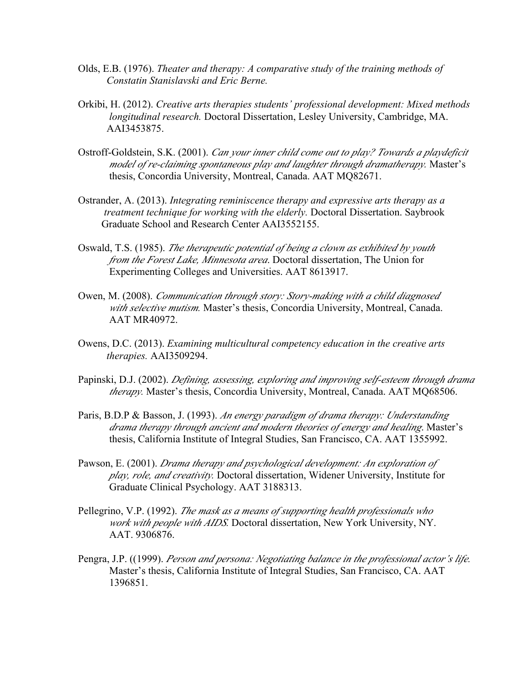- Olds, E.B. (1976). *Theater and therapy: A comparative study of the training methods of Constatin Stanislavski and Eric Berne.*
- Orkibi, H. (2012). *Creative arts therapies students' professional development: Mixed methods longitudinal research.* Doctoral Dissertation, Lesley University, Cambridge, MA. AAI3453875.
- Ostroff-Goldstein, S.K. (2001). *Can your inner child come out to play? Towards a playdeficit model of re-claiming spontaneous play and laughter through dramatherapy.* Master's thesis, Concordia University, Montreal, Canada. AAT MQ82671.
- Ostrander, A. (2013). *Integrating reminiscence therapy and expressive arts therapy as a treatment technique for working with the elderly.* Doctoral Dissertation. Saybrook Graduate School and Research Center AAI3552155.
- Oswald, T.S. (1985). *The therapeutic potential of being a clown as exhibited by youth from the Forest Lake, Minnesota area*. Doctoral dissertation, The Union for Experimenting Colleges and Universities. AAT 8613917.
- Owen, M. (2008). *Communication through story: Story-making with a child diagnosed with selective mutism.* Master's thesis, Concordia University, Montreal, Canada. AAT MR40972.
- Owens, D.C. (2013). *Examining multicultural competency education in the creative arts therapies.* AAI3509294.
- Papinski, D.J. (2002). *Defining, assessing, exploring and improving self-esteem through drama therapy.* Master's thesis, Concordia University, Montreal, Canada. AAT MQ68506.
- Paris, B.D.P & Basson, J. (1993). *An energy paradigm of drama therapy: Understanding drama therapy through ancient and modern theories of energy and healing*. Master's thesis, California Institute of Integral Studies, San Francisco, CA. AAT 1355992.
- Pawson, E. (2001). *Drama therapy and psychological development: An exploration of play, role, and creativity.* Doctoral dissertation, Widener University, Institute for Graduate Clinical Psychology. AAT 3188313.
- Pellegrino, V.P. (1992). *The mask as a means of supporting health professionals who work with people with AIDS.* Doctoral dissertation, New York University, NY. AAT. 9306876.
- Pengra, J.P. ((1999). *Person and persona: Negotiating balance in the professional actor's life.*  Master's thesis, California Institute of Integral Studies, San Francisco, CA. AAT 1396851.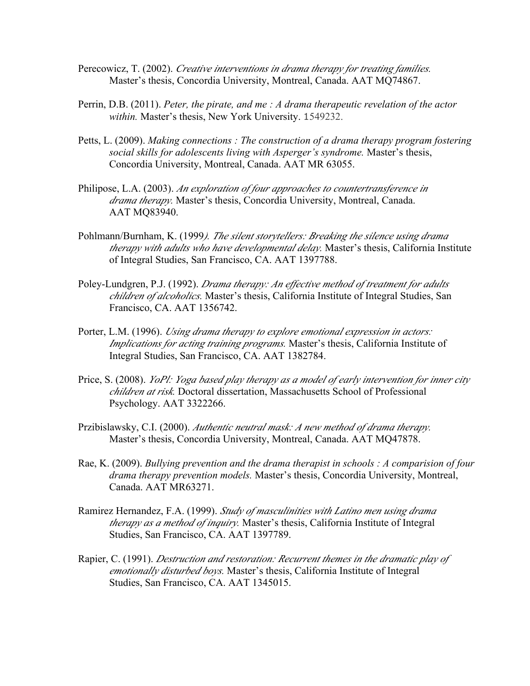- Perecowicz, T. (2002). *Creative interventions in drama therapy for treating families.* Master's thesis, Concordia University, Montreal, Canada. AAT MQ74867.
- Perrin, D.B. (2011). *Peter, the pirate, and me : A drama therapeutic revelation of the actor within.* Master's thesis, New York University. 1549232.
- Petts, L. (2009). *Making connections : The construction of a drama therapy program fostering social skills for adolescents living with Asperger's syndrome.* Master's thesis, Concordia University, Montreal, Canada. AAT MR 63055.
- Philipose, L.A. (2003). *An exploration of four approaches to countertransference in drama therapy.* Master's thesis, Concordia University, Montreal, Canada. AAT MQ83940.
- Pohlmann/Burnham, K. (1999*). The silent storytellers: Breaking the silence using drama therapy with adults who have developmental delay.* Master's thesis, California Institute of Integral Studies, San Francisco, CA. AAT 1397788.
- Poley-Lundgren, P.J. (1992). *Drama therapy: An effective method of treatment for adults children of alcoholics.* Master's thesis, California Institute of Integral Studies, San Francisco, CA. AAT 1356742.
- Porter, L.M. (1996). *Using drama therapy to explore emotional expression in actors: Implications for acting training programs.* Master's thesis, California Institute of Integral Studies, San Francisco, CA. AAT 1382784.
- Price, S. (2008). *YoPl: Yoga based play therapy as a model of early intervention for inner city children at risk.* Doctoral dissertation, Massachusetts School of Professional Psychology. AAT 3322266.
- Przibislawsky, C.I. (2000). *Authentic neutral mask: A new method of drama therapy.* Master's thesis, Concordia University, Montreal, Canada. AAT MQ47878.
- Rae, K. (2009). *Bullying prevention and the drama therapist in schools : A comparision of four drama therapy prevention models.* Master's thesis, Concordia University, Montreal, Canada. AAT MR63271.
- Ramirez Hernandez, F.A. (1999). *Study of masculinities with Latino men using drama therapy as a method of inquiry.* Master's thesis, California Institute of Integral Studies, San Francisco, CA. AAT 1397789.
- Rapier, C. (1991). *Destruction and restoration: Recurrent themes in the dramatic play of emotionally disturbed boys.* Master's thesis, California Institute of Integral Studies, San Francisco, CA. AAT 1345015.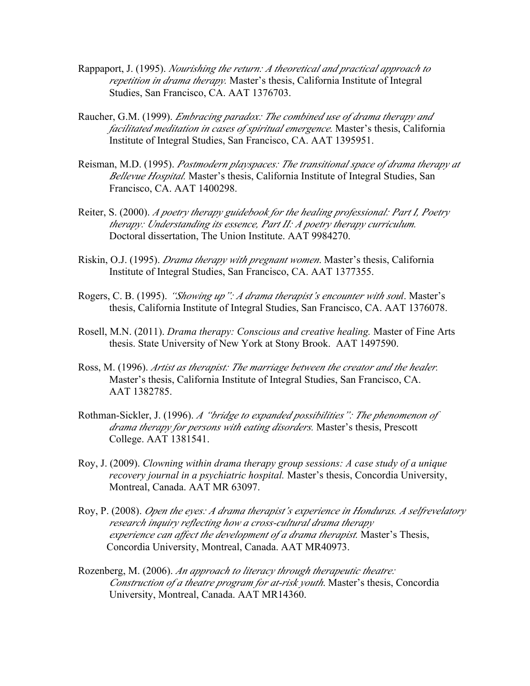- Rappaport, J. (1995). *Nourishing the return: A theoretical and practical approach to repetition in drama therapy.* Master's thesis, California Institute of Integral Studies, San Francisco, CA. AAT 1376703.
- Raucher, G.M. (1999). *Embracing paradox: The combined use of drama therapy and facilitated meditation in cases of spiritual emergence.* Master's thesis, California Institute of Integral Studies, San Francisco, CA. AAT 1395951.
- Reisman, M.D. (1995). *Postmodern playspaces: The transitional space of drama therapy at Bellevue Hospital.* Master's thesis, California Institute of Integral Studies, San Francisco, CA. AAT 1400298.
- Reiter, S. (2000). *A poetry therapy guidebook for the healing professional: Part I, Poetry therapy: Understanding its essence, Part II: A poetry therapy curriculum.* Doctoral dissertation, The Union Institute. AAT 9984270.
- Riskin, O.J. (1995). *Drama therapy with pregnant women*. Master's thesis, California Institute of Integral Studies, San Francisco, CA. AAT 1377355.
- Rogers, C. B. (1995). *"Showing up": A drama therapist's encounter with soul*. Master's thesis, California Institute of Integral Studies, San Francisco, CA. AAT 1376078.
- Rosell, M.N. (2011). *Drama therapy: Conscious and creative healing.* Master of Fine Arts thesis. State University of New York at Stony Brook. AAT 1497590.
- Ross, M. (1996). *Artist as therapist: The marriage between the creator and the healer.* Master's thesis, California Institute of Integral Studies, San Francisco, CA. AAT 1382785.
- Rothman-Sickler, J. (1996). *A "bridge to expanded possibilities": The phenomenon of drama therapy for persons with eating disorders.* Master's thesis, Prescott College. AAT 1381541.
- Roy, J. (2009). *Clowning within drama therapy group sessions: A case study of a unique recovery journal in a psychiatric hospital.* Master's thesis, Concordia University, Montreal, Canada. AAT MR 63097.
- Roy, P. (2008). *Open the eyes: A drama therapist's experience in Honduras. A selfrevelatory research inquiry reflecting how a cross-cultural drama therapy experience can affect the development of a drama therapist.* Master's Thesis, Concordia University, Montreal, Canada. AAT MR40973.
- Rozenberg, M. (2006). *An approach to literacy through therapeutic theatre: Construction of a theatre program for at-risk youth*. Master's thesis, Concordia University, Montreal, Canada. AAT MR14360.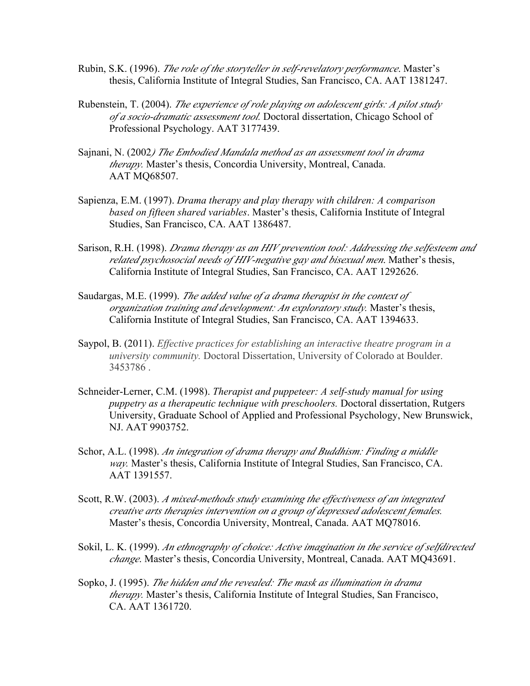- Rubin, S.K. (1996). *The role of the storyteller in self-revelatory performance*. Master's thesis, California Institute of Integral Studies, San Francisco, CA. AAT 1381247.
- Rubenstein, T. (2004). *The experience of role playing on adolescent girls: A pilot study of a socio-dramatic assessment tool.* Doctoral dissertation, Chicago School of Professional Psychology. AAT 3177439.
- Sajnani, N. (2002*) The Embodied Mandala method as an assessment tool in drama therapy.* Master's thesis, Concordia University, Montreal, Canada. AAT MQ68507.
- Sapienza, E.M. (1997). *Drama therapy and play therapy with children: A comparison based on fifteen shared variables*. Master's thesis, California Institute of Integral Studies, San Francisco, CA. AAT 1386487.
- Sarison, R.H. (1998). *Drama therapy as an HIV prevention tool: Addressing the selfesteem and related psychosocial needs of HIV-negative gay and bisexual men*. Mather's thesis, California Institute of Integral Studies, San Francisco, CA. AAT 1292626.
- Saudargas, M.E. (1999). *The added value of a drama therapist in the context of organization training and development: An exploratory study.* Master's thesis, California Institute of Integral Studies, San Francisco, CA. AAT 1394633.
- Saypol, B. (2011). *Effective practices for establishing an interactive theatre program in a university community.* Doctoral Dissertation, University of Colorado at Boulder. 3453786 .
- Schneider-Lerner, C.M. (1998). *Therapist and puppeteer: A self-study manual for using puppetry as a therapeutic technique with preschoolers.* Doctoral dissertation, Rutgers University, Graduate School of Applied and Professional Psychology, New Brunswick, NJ. AAT 9903752.
- Schor, A.L. (1998). *An integration of drama therapy and Buddhism: Finding a middle way.* Master's thesis, California Institute of Integral Studies, San Francisco, CA. AAT 1391557.
- Scott, R.W. (2003). *A mixed-methods study examining the effectiveness of an integrated creative arts therapies intervention on a group of depressed adolescent females.* Master's thesis, Concordia University, Montreal, Canada. AAT MQ78016.
- Sokil, L. K. (1999). *An ethnography of choice: Active imagination in the service of selfdirected change*. Master's thesis, Concordia University, Montreal, Canada. AAT MQ43691.
- Sopko, J. (1995). *The hidden and the revealed: The mask as illumination in drama therapy.* Master's thesis, California Institute of Integral Studies, San Francisco, CA. AAT 1361720.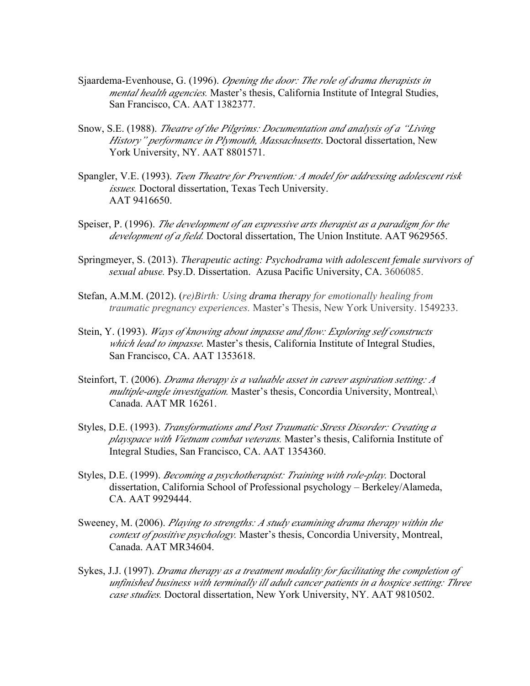- Sjaardema-Evenhouse, G. (1996). *Opening the door: The role of drama therapists in mental health agencies.* Master's thesis, California Institute of Integral Studies, San Francisco, CA. AAT 1382377.
- Snow, S.E. (1988). *Theatre of the Pilgrims: Documentation and analysis of a "Living History" performance in Plymouth, Massachusetts*. Doctoral dissertation, New York University, NY. AAT 8801571.
- Spangler, V.E. (1993). *Teen Theatre for Prevention: A model for addressing adolescent risk issues.* Doctoral dissertation, Texas Tech University. AAT 9416650.
- Speiser, P. (1996). *The development of an expressive arts therapist as a paradigm for the development of a field.* Doctoral dissertation, The Union Institute. AAT 9629565.
- Springmeyer, S. (2013). *Therapeutic acting: Psychodrama with adolescent female survivors of sexual abuse.* Psy.D. Dissertation. Azusa Pacific University, CA. 3606085.
- Stefan, A.M.M. (2012). (*re)Birth: Using drama therapy for emotionally healing from traumatic pregnancy experiences.* Master's Thesis, New York University. 1549233.
- Stein, Y. (1993). *Ways of knowing about impasse and flow: Exploring self constructs which lead to impasse*. Master's thesis, California Institute of Integral Studies, San Francisco, CA. AAT 1353618.
- Steinfort, T. (2006). *Drama therapy is a valuable asset in career aspiration setting: A multiple-angle investigation.* Master's thesis, Concordia University, Montreal,\ Canada. AAT MR 16261.
- Styles, D.E. (1993). *Transformations and Post Traumatic Stress Disorder: Creating a playspace with Vietnam combat veterans.* Master's thesis, California Institute of Integral Studies, San Francisco, CA. AAT 1354360.
- Styles, D.E. (1999). *Becoming a psychotherapist: Training with role-play.* Doctoral dissertation, California School of Professional psychology – Berkeley/Alameda, CA. AAT 9929444.
- Sweeney, M. (2006). *Playing to strengths: A study examining drama therapy within the context of positive psychology.* Master's thesis, Concordia University, Montreal, Canada. AAT MR34604.
- Sykes, J.J. (1997). *Drama therapy as a treatment modality for facilitating the completion of unfinished business with terminally ill adult cancer patients in a hospice setting: Three case studies.* Doctoral dissertation, New York University, NY. AAT 9810502.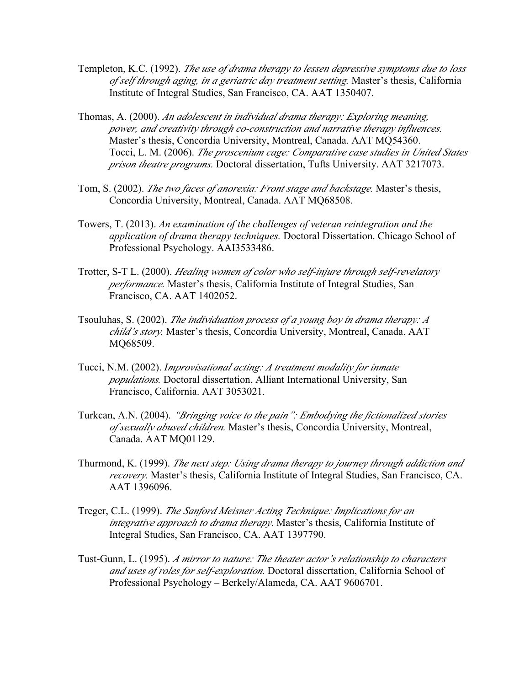- Templeton, K.C. (1992). *The use of drama therapy to lessen depressive symptoms due to loss of self through aging, in a geriatric day treatment setting.* Master's thesis, California Institute of Integral Studies, San Francisco, CA. AAT 1350407.
- Thomas, A. (2000). *An adolescent in individual drama therapy: Exploring meaning, power, and creativity through co-construction and narrative therapy influences.* Master's thesis, Concordia University, Montreal, Canada. AAT MQ54360. Tocci, L. M. (2006). *The proscenium cage: Comparative case studies in United States prison theatre programs.* Doctoral dissertation, Tufts University. AAT 3217073.
- Tom, S. (2002). *The two faces of anorexia: Front stage and backstage.* Master's thesis, Concordia University, Montreal, Canada. AAT MQ68508.
- Towers, T. (2013). *An examination of the challenges of veteran reintegration and the application of drama therapy techniques.* Doctoral Dissertation. Chicago School of Professional Psychology. AAI3533486.
- Trotter, S-T L. (2000). *Healing women of color who self-injure through self-revelatory performance.* Master's thesis, California Institute of Integral Studies, San Francisco, CA. AAT 1402052.
- Tsouluhas, S. (2002). *The individuation process of a young boy in drama therapy: A child's story.* Master's thesis, Concordia University, Montreal, Canada. AAT MQ68509.
- Tucci, N.M. (2002). *Improvisational acting: A treatment modality for inmate populations.* Doctoral dissertation, Alliant International University, San Francisco, California. AAT 3053021.
- Turkcan, A.N. (2004). *"Bringing voice to the pain": Embodying the fictionalized stories of sexually abused children.* Master's thesis, Concordia University, Montreal, Canada. AAT MQ01129.
- Thurmond, K. (1999). *The next step: Using drama therapy to journey through addiction and recovery.* Master's thesis, California Institute of Integral Studies, San Francisco, CA. AAT 1396096.
- Treger, C.L. (1999). *The Sanford Meisner Acting Technique: Implications for an integrative approach to drama therapy*. Master's thesis, California Institute of Integral Studies, San Francisco, CA. AAT 1397790.
- Tust-Gunn, L. (1995). *A mirror to nature: The theater actor's relationship to characters and uses of roles for self-exploration.* Doctoral dissertation, California School of Professional Psychology – Berkely/Alameda, CA. AAT 9606701.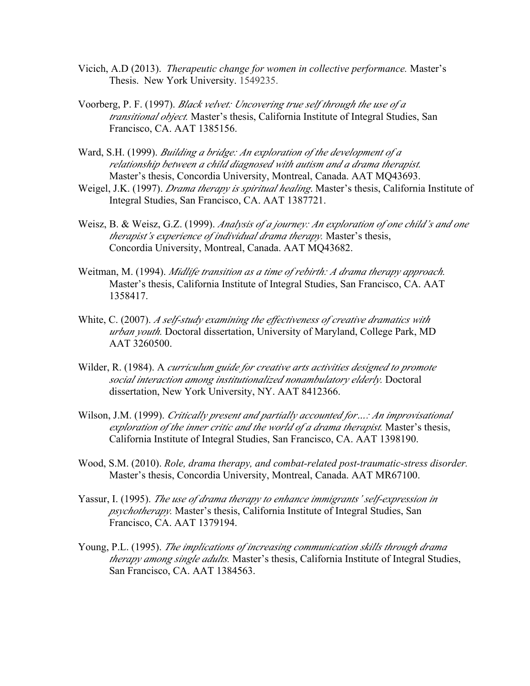- Vicich, A.D (2013). *Therapeutic change for women in collective performance.* Master's Thesis. New York University. 1549235.
- Voorberg, P. F. (1997). *Black velvet: Uncovering true self through the use of a transitional object.* Master's thesis, California Institute of Integral Studies, San Francisco, CA. AAT 1385156.
- Ward, S.H. (1999). *Building a bridge: An exploration of the development of a relationship between a child diagnosed with autism and a drama therapist.* Master's thesis, Concordia University, Montreal, Canada. AAT MQ43693.
- Weigel, J.K. (1997). *Drama therapy is spiritual healing*. Master's thesis, California Institute of Integral Studies, San Francisco, CA. AAT 1387721.
- Weisz, B. & Weisz, G.Z. (1999). *Analysis of a journey: An exploration of one child's and one therapist's experience of individual drama therapy.* Master's thesis, Concordia University, Montreal, Canada. AAT MQ43682.
- Weitman, M. (1994). *Midlife transition as a time of rebirth: A drama therapy approach.* Master's thesis, California Institute of Integral Studies, San Francisco, CA. AAT 1358417.
- White, C. (2007). *A self-study examining the effectiveness of creative dramatics with urban youth.* Doctoral dissertation, University of Maryland, College Park, MD AAT 3260500.
- Wilder, R. (1984). A *curriculum guide for creative arts activities designed to promote social interaction among institutionalized nonambulatory elderly.* Doctoral dissertation, New York University, NY. AAT 8412366.
- Wilson, J.M. (1999). *Critically present and partially accounted for…: An improvisational exploration of the inner critic and the world of a drama therapist.* Master's thesis, California Institute of Integral Studies, San Francisco, CA. AAT 1398190.
- Wood, S.M. (2010). *Role, drama therapy, and combat-related post-traumatic-stress disorder.* Master's thesis, Concordia University, Montreal, Canada. AAT MR67100.
- Yassur, I. (1995). *The use of drama therapy to enhance immigrants' self-expression in psychotherapy.* Master's thesis, California Institute of Integral Studies, San Francisco, CA. AAT 1379194.
- Young, P.L. (1995). *The implications of increasing communication skills through drama therapy among single adults.* Master's thesis, California Institute of Integral Studies, San Francisco, CA. AAT 1384563.